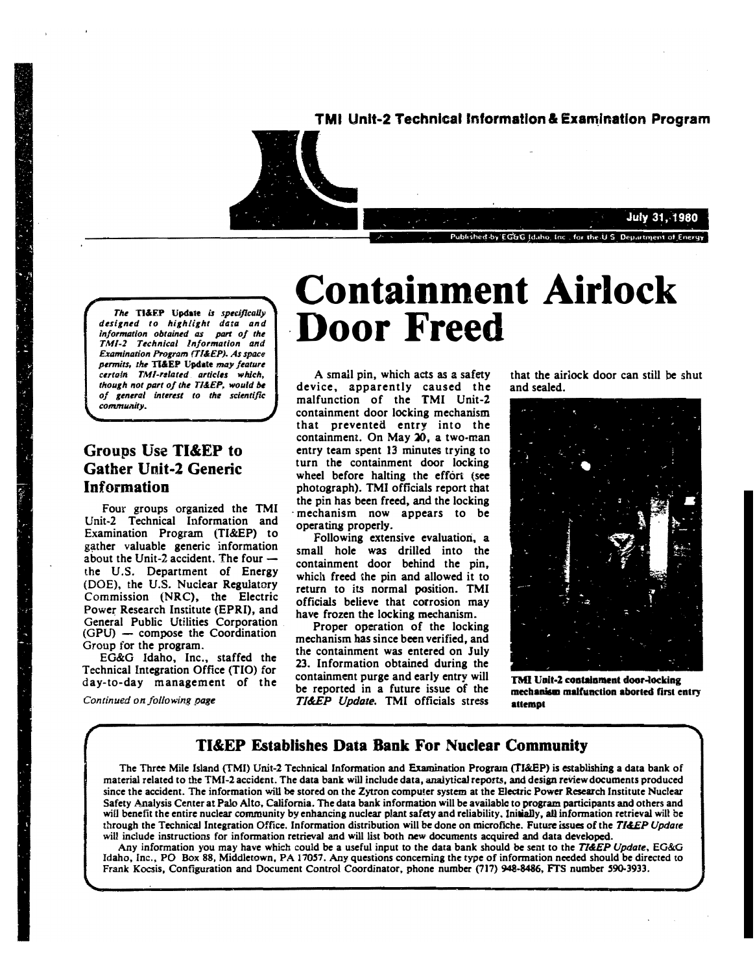

The TI&EP Update is specifically designed to highlight data and information obtained as part of the TMI-2 Technical Information and Examination Program (TI&EP), As space permits, the TI&EP Update may feature certain TMI-related articles which, though not part of the TI&EP, would be of general interest to the scientific community.

## Groups Use TI&EP to **Gather Unit-2 Generic** Information

Four groups organized the TMI Unit-2 Technical Information and Examination Program (TI&EP) to gather valuable generic information about the Unit-2 accident. The four  $$ the U.S. Department of Energy (DOE), the U.S. Nuclear Regulatory Commission (NRC), the Electric Power Research Institute (EPRI), and General Public Utilities Corporation (GPU) - compose the Coordination Group for the program.

EG&G Idaho, Inc., staffed the Technical Integration Office (TIO) for day-to-day management of the

Continued on following page

# **Containment Airlock Door Freed**

A small pin, which acts as a safety device, apparently caused the malfunction of the TMI Unit-2 containment door locking mechanism that prevented entry into the containment. On May 20, a two-man entry team spent 13 minutes trying to turn the containment door locking wheel before halting the effort (see photograph). TMI officials report that the pin has been freed, and the locking mechanism now appears to be operating properly.

Following extensive evaluation, a small hole was drilled into the containment door behind the pin. which freed the pin and allowed it to return to its normal position. TMI officials believe that corrosion may have frozen the locking mechanism.

Proper operation of the locking mechanism has since been verified, and the containment was entered on July 23. Information obtained during the containment purge and early entry will be reported in a future issue of the TI&EP Update. TMI officials stress

that the airlock door can still be shut and sealed.

Published by EGGG Id tho Inc., for the U.S. Department of Energy

**July 31, 1980** 



TMI Unit-2 containment door-locking mechanism malfunction aborted first entry attempt

#### **TI&EP Establishes Data Bank For Nuclear Community**

The Three Mile Island (TMI) Unit-2 Technical Information and Examination Program (TI&EP) is establishing a data bank of material related to the TMI-2 accident. The data bank will include data, analytical reports, and design review documents produced since the accident. The information will be stored on the Zytron computer system at the Electric Power Research Institute Nuclear Safety Analysis Center at Palo Alto, California. The data bank information will be available to program participants and others and will benefit the entire nuclear community by enhancing nuclear plant safety and reliability, Initially, all information retrieval will be through the Technical Integration Office. Information distribution will be done on microfiche. Future issues of the TI&EP Update will include instructions for information retrieval and will list both new documents acquired and data developed.

Any information you may have which could be a useful input to the data bank should be sent to the TI&EP Update, EG&G Idaho, Inc., PO Box 88, Middletown, PA 17057. Any questions concerning the type of information needed should be directed to Frank Kocsis, Configuration and Document Control Coordinator, phone number (717) 948-8486, FTS number 590-3933.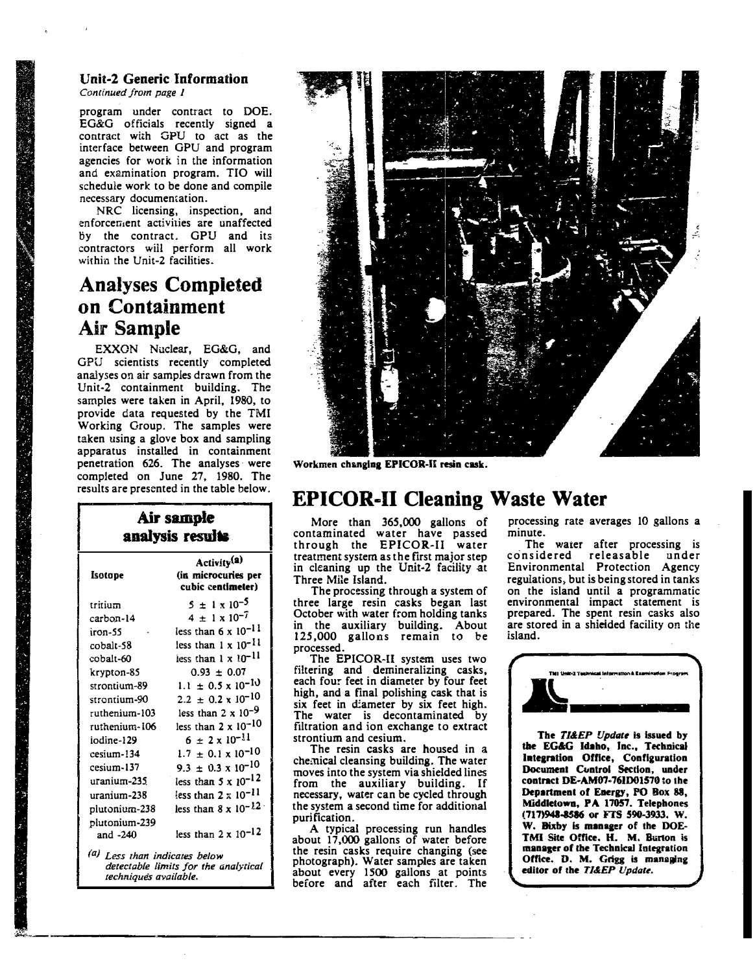#### Unit·2 Generic Information Continued from page I

program under contract to DOE. EG&G officials recently signed a contract with GPU to act as the interface between GPU and program agencies for work in the information and examination program. TIO will schedule work to be done and compile necessary documentation.

NRC licensing, inspection, and enforcement activities are unaffected By the contract. GPU and its contractors wii! perform all work within the Unit-2 facilities.

# Analyses Completed on Containment Air Sample

EXXON Nuclear, EG&G, and GPU scientists recently completed analyses on air samples drawn from the Unit·2 containment building. The samples were taken in April, 1980, to provide data requested by the TMI Working Group. The samples were taken using a glove box and sampling apparatus installed in containment penetration 626. The analyses· were completed on June 27, 1980. The results are presented in the table below.

### Air sample analysis results

| Isotope                                  | Activity <sup>(a)</sup><br>(in microcuries per<br>cubic centimeter) |
|------------------------------------------|---------------------------------------------------------------------|
| tritium                                  | $5 \pm 1 \times 10^{-5}$                                            |
| carbon-14                                | $4 \pm 1 \times 10^{-7}$                                            |
| iron-55                                  | less than $6 \times 10^{-11}$                                       |
| cobalt-58                                | less than $1 \times 10^{-11}$                                       |
| cobalt-60                                | less than 1 x 10-11                                                 |
| krypton-85                               | $0.93 \pm 0.07$                                                     |
| strontium-89                             | $1.1 \pm 0.5 \times 10^{-10}$                                       |
| strantium-90                             | $2.2 \pm 0.2 \times 10^{-10}$                                       |
| ruthenium-103                            | less than 2 x $10^{-9}$                                             |
| ruthenium-106                            | less than $2 \times 10^{-10}$                                       |
| iodine-129                               | $6 \pm 2 \times 10^{-11}$                                           |
| cesium-134                               | $1.7 \pm 0.1 \times 10^{-10}$                                       |
| cesium-137                               | $9.3 \pm 0.3 \times 10^{-10}$                                       |
| uranium-235                              | less than $5 \times 10^{-12}$                                       |
| uranium-238                              | less than $2 \times 10^{-11}$                                       |
| plutonium-238                            | less than $8 \times 10^{-12}$                                       |
| plutonium-239<br>and -240                | less than $2 \times 10^{-12}$                                       |
| <sup>(a)</sup> Less than indicates below |                                                                     |

( detectable limits for the analytical techniques available.



Workmen changing EPICOR-II resin cask.

## **EPICOR-II Cleaning Waste Water**

More than 365,000 gallons of contaminated water have passed through the EPICOR-II water treatment system as the first major step in cleaning up the Unit-2 facility at Three Mile Island.

The processing through a system of three large resin casks began last October with water from holding tanks in the auxiliary building. About 125,000 gallons remain to be processed.

The EPICOR-11 system uses two filtering and demineralizing casks, each four feet in diameter by four feet high, and a final polishing cask that is six feet in diameter by six feet high. The water is decontaminated by filtration and ion exchange to extract strontium and cesium.

The resin casks are housed in a chemical cleansing building. The water moves into the system via shielded lines from the auxiliary building. If necessary, water can be cycled through the system a second time for additional purification.

A typical precessing run handles about 17,000 gallons of water before the resin casks require changing (see photograph). Water samples are taken about every 1500 gallons at points before and after each filter. The

processing rate averages 10 gallons a minute.

The waier after processing is considered releasable un der Environmental Protection Agency regulations, but is being stored in tanks on the island until a programmatic environmental impact statement is prepared. The spent resin casks also are stored in a shielded facility on the island.



The TI&EP Update is issued by the EG&G Idaho, Inc., Technical Integration Office, Configuration Document Control Section, under contract DE-AM07-761D01570 to the Department of Energy, PO Box 88, Middletown, PA 17057. Telephones (717)9.41-8516 or FIS 590-3933. w. W. Bixby is manager of the DOE-TMI Site Office. H. M. Burton is manager of the Technical Integration Office. D. M. Grigg is managing editor of the TI&EP Update.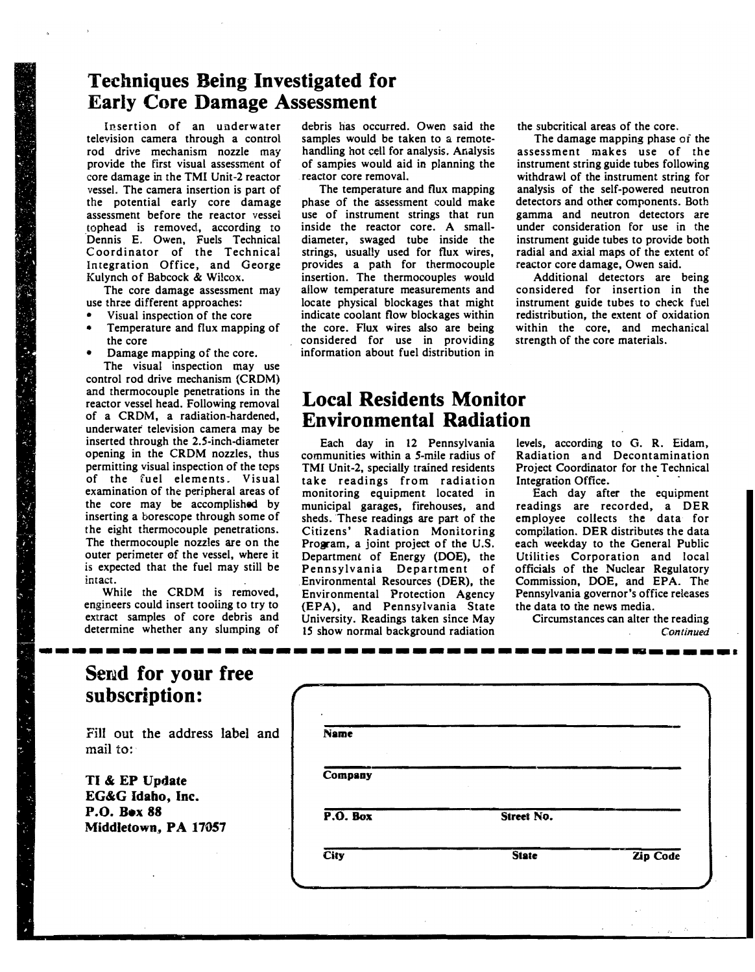## Techniques Being Investigated for Early Core Damage Assessment

Insertion of an underwater television camera through a control rod drive mechanism nozzle may provide the first visual assessment of core damage in the TMI Unit-2 reactor vesseL The camera insertion is part of the potential early core damage assessment before the reactor vessel tophead is removed, according to Dennis E. Owen, Fuels Technical C oordinator of the Technical Integration Office, and George Kulynch of Babcock & Wilcox.

The core damage assessment may use three different approaches:

- Visual inspection of the core
- Temperature and flux mapping of the core
- Damage mapping of the core.

The visual inspection may use control rod drive mechanism (CRDM) and thermocouple penetrations in the reactor vessel head. Following removal of a CRDM, a radiation-hardened, underwater television camera may be inserted through the 2.5-inch-diameter opening in the CRDM nozzles, thus permitting visual inspection of the tcps of the fuel elements. Visual examination of the peripheral areas of the core may be accomplished by inserting a borescope through some of the eight thermocouple penetrations. The thermocouple nozzles are on the outer perimeter ef the vessel, where it is expected that the fuel may still be intact.

While the CRDM is removed, engineers could insert tooling to try to extract samples of core debris and determine whether any slumping of debris has occurred. Owen said the samples would be taken to a remotehandling hot cell for analysis. Analysis of sampies would aid in planning the . reactor core removal.

The temperature and flux mapping phase of the assessment could make use of instrument strings that run inside the reactor core. A smalldiameter, swaged tube inside the strings, usually used for flux wires, provides a path for thermocouple insertion. The thermocouples would allow temperature measurements and locate physical blockages that might indicate coolant flow blockages within the core. Flux wires also are being considered for use in providing information about fuel distribution in

the subcritical areas of the core.

The damage mapping phase of the assessment makes use of the instrument string guide tubes following withdrawl of the instrument string for analysis of the self-powered neutron detectors and other components. Both gamma and neutron detectors are under consideration for use in the instrument guide tubes to provide both radial and axial maps of the extent of reactor core damage, Owen said.

Additional detectors are being considered for insertion in the instrument guide tubes to check fuel redistribution, the extent of oxidation within the core, and mechanical strength of the core materials.

## Local Residents Monitor Environmental Radiation

Each day in 12 Pennsylvania communities within a S-mile radius of TMI Unit-2, specially trained residents take readings from radiation monitoring equipment located in municipal garages, firehouses, and sheds. These readings are part of the Citizens' Radiation Monitoring Program, a joint project of the U.S. Department of Energy (DOE), the Pennsylvania Department of Environmental Resources (DER), the Environmental Protection Agency (EPA), and Pennsylvania State University. Readings taken since May 15 show normal background radiation

-----------------------------------�-----·

levels, according to G. R. Eidam, Radiation and Decontamination Project Coordinator for the Technical Integration Office.

Each day after the equipment readings are recorded, a DER employee collects the data for compilation. DER distributes the data each weekday to the General Public Utilities Corporation and local officials of the Nuclear Regulatory Commission, DOE, and EPA. The Pennsylvania governor's office releases the data to the news media.

Circumstances can alter the reading **Continued** 

|               | Send for your free |  |
|---------------|--------------------|--|
| subscription: |                    |  |

Fill out the address label and mail to:

TI & EP Update EG&G Idaho, Inc. P.O. Box 88 Middletown, PA 17057

| <b>Name</b> |              |          |
|-------------|--------------|----------|
| Company     |              |          |
| $P.0.$ Box  | Street No.   |          |
| City        | <b>State</b> | Zip Code |